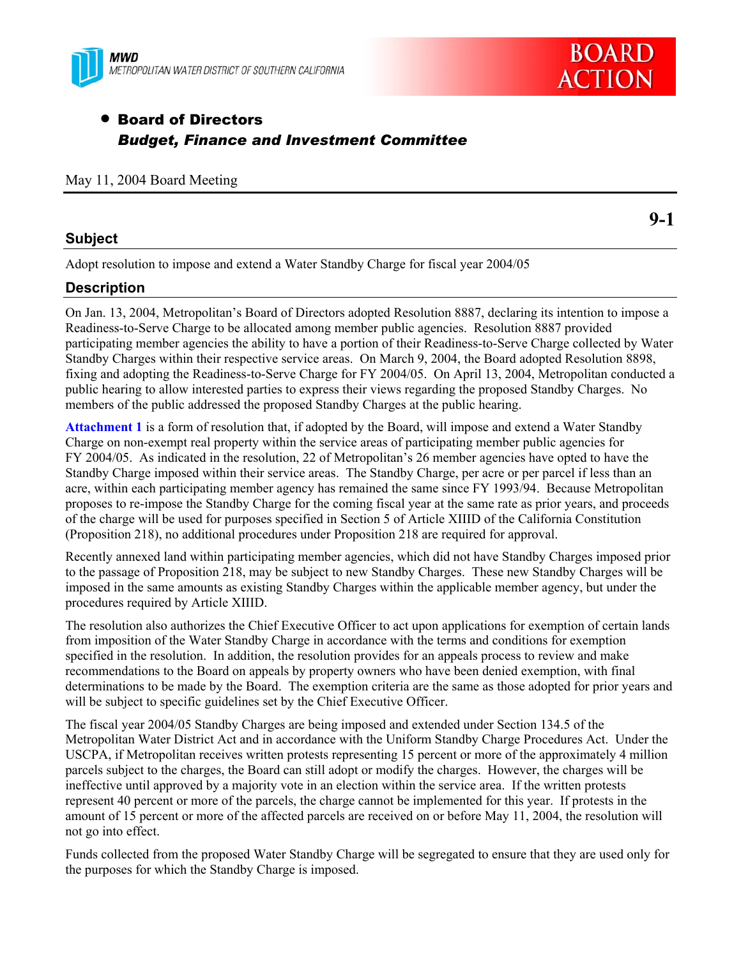



# • Board of Directors *Budget, Finance and Investment Committee*

### May 11, 2004 Board Meeting

### **Subject**

Adopt resolution to impose and extend a Water Standby Charge for fiscal year 2004/05

# **Description**

On Jan. 13, 2004, Metropolitan's Board of Directors adopted Resolution 8887, declaring its intention to impose a Readiness-to-Serve Charge to be allocated among member public agencies. Resolution 8887 provided participating member agencies the ability to have a portion of their Readiness-to-Serve Charge collected by Water Standby Charges within their respective service areas. On March 9, 2004, the Board adopted Resolution 8898, fixing and adopting the Readiness-to-Serve Charge for FY 2004/05. On April 13, 2004, Metropolitan conducted a public hearing to allow interested parties to express their views regarding the proposed Standby Charges.No members of the public addressed the proposed Standby Charges at the public hearing.

**Attachment 1** is a form of resolution that, if adopted by the Board, will impose and extend a Water Standby Charge on non-exempt real property within the service areas of participating member public agencies for FY 2004/05. As indicated in the resolution, 22 of Metropolitan's 26 member agencies have opted to have the Standby Charge imposed within their service areas. The Standby Charge, per acre or per parcel if less than an acre, within each participating member agency has remained the same since FY 1993/94. Because Metropolitan proposes to re-impose the Standby Charge for the coming fiscal year at the same rate as prior years, and proceeds of the charge will be used for purposes specified in Section 5 of Article XIIID of the California Constitution (Proposition 218), no additional procedures under Proposition 218 are required for approval.

Recently annexed land within participating member agencies, which did not have Standby Charges imposed prior to the passage of Proposition 218, may be subject to new Standby Charges. These new Standby Charges will be imposed in the same amounts as existing Standby Charges within the applicable member agency, but under the procedures required by Article XIIID.

The resolution also authorizes the Chief Executive Officer to act upon applications for exemption of certain lands from imposition of the Water Standby Charge in accordance with the terms and conditions for exemption specified in the resolution. In addition, the resolution provides for an appeals process to review and make recommendations to the Board on appeals by property owners who have been denied exemption, with final determinations to be made by the Board. The exemption criteria are the same as those adopted for prior years and will be subject to specific guidelines set by the Chief Executive Officer.

The fiscal year 2004/05 Standby Charges are being imposed and extended under Section 134.5 of the Metropolitan Water District Act and in accordance with the Uniform Standby Charge Procedures Act. Under the USCPA, if Metropolitan receives written protests representing 15 percent or more of the approximately 4 million parcels subject to the charges, the Board can still adopt or modify the charges. However, the charges will be ineffective until approved by a majority vote in an election within the service area. If the written protests represent 40 percent or more of the parcels, the charge cannot be implemented for this year. If protests in the amount of 15 percent or more of the affected parcels are received on or before May 11, 2004, the resolution will not go into effect.

Funds collected from the proposed Water Standby Charge will be segregated to ensure that they are used only for the purposes for which the Standby Charge is imposed.

**9-1**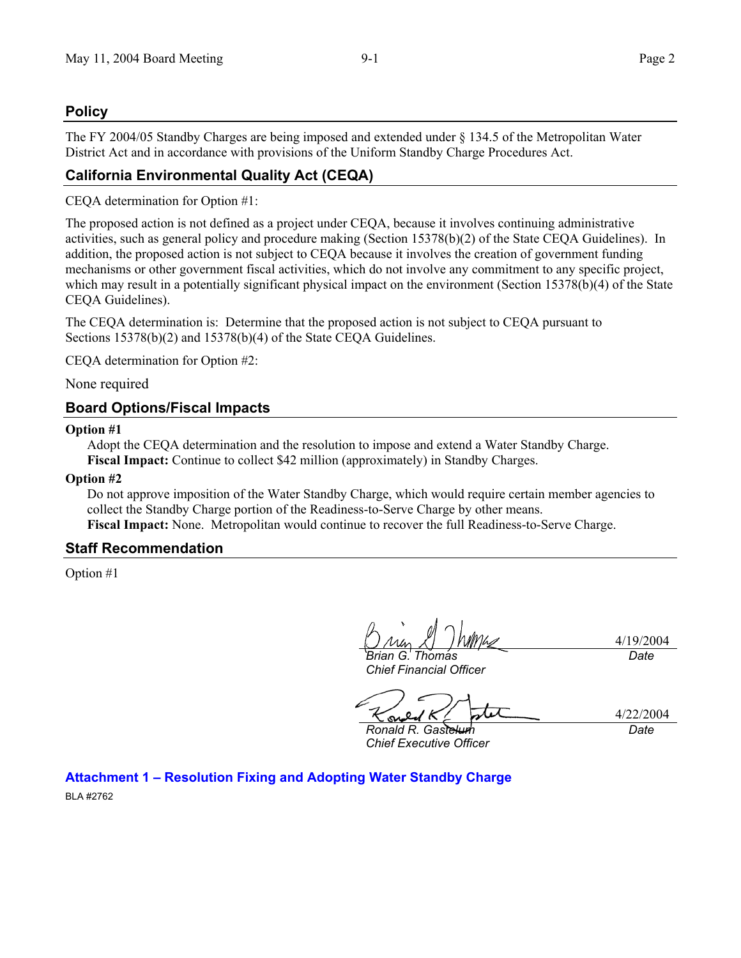# **Policy**

The FY 2004/05 Standby Charges are being imposed and extended under § 134.5 of the Metropolitan Water District Act and in accordance with provisions of the Uniform Standby Charge Procedures Act.

# **California Environmental Quality Act (CEQA)**

CEQA determination for Option #1:

The proposed action is not defined as a project under CEQA, because it involves continuing administrative activities, such as general policy and procedure making (Section 15378(b)(2) of the State CEQA Guidelines). In addition, the proposed action is not subject to CEQA because it involves the creation of government funding mechanisms or other government fiscal activities, which do not involve any commitment to any specific project, which may result in a potentially significant physical impact on the environment (Section 15378(b)(4) of the State CEQA Guidelines).

The CEQA determination is: Determine that the proposed action is not subject to CEQA pursuant to Sections 15378(b)(2) and 15378(b)(4) of the State CEQA Guidelines.

CEQA determination for Option #2:

None required

# **Board Options/Fiscal Impacts**

#### **Option #1**

Adopt the CEQA determination and the resolution to impose and extend a Water Standby Charge. **Fiscal Impact:** Continue to collect \$42 million (approximately) in Standby Charges.

#### **Option #2**

Do not approve imposition of the Water Standby Charge, which would require certain member agencies to collect the Standby Charge portion of the Readiness-to-Serve Charge by other means. **Fiscal Impact:** None. Metropolitan would continue to recover the full Readiness-to-Serve Charge.

# **Staff Recommendation**

Option #1

*Brian G. Thomas* 

4/19/2004 *Date* 

*Chief Financial Officer* 

4/22/2004

*Ronald R. Gastelum Chief Executive Officer* 

*Date* 

**Attachment 1 – Resolution Fixing and Adopting Water Standby Charge** 

BLA #2762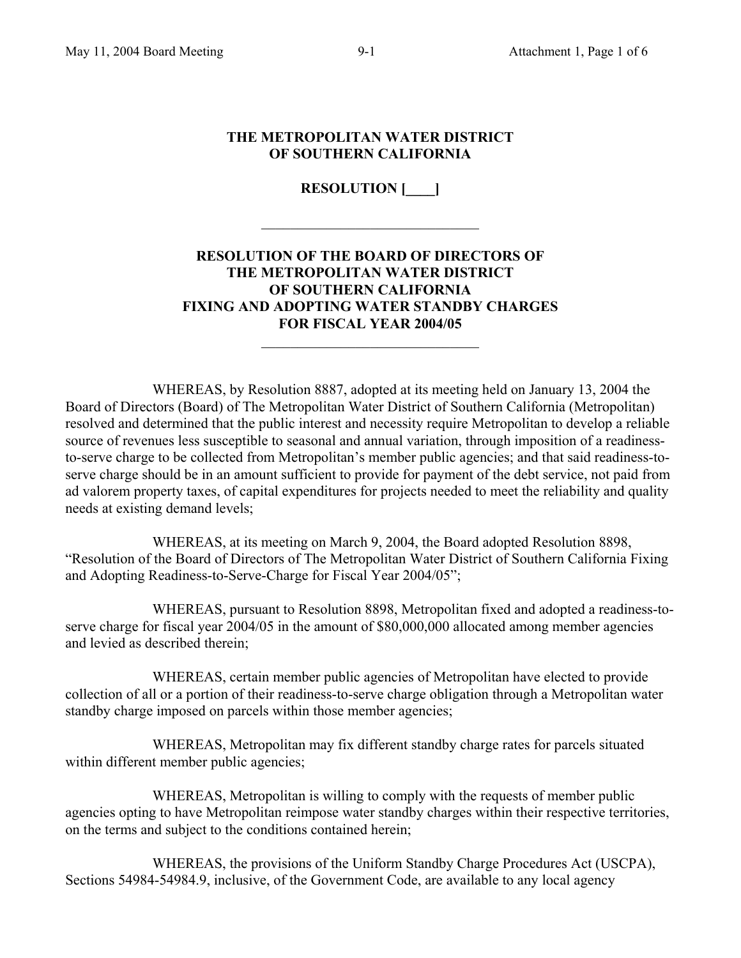### **THE METROPOLITAN WATER DISTRICT OF SOUTHERN CALIFORNIA**

**RESOLUTION [\_\_\_\_]** 

 $\mathcal{L}_\text{max}$ 

# **RESOLUTION OF THE BOARD OF DIRECTORS OF THE METROPOLITAN WATER DISTRICT OF SOUTHERN CALIFORNIA FIXING AND ADOPTING WATER STANDBY CHARGES FOR FISCAL YEAR 2004/05**

 $\mathcal{L}_\text{max}$  , where  $\mathcal{L}_\text{max}$  and  $\mathcal{L}_\text{max}$ 

 WHEREAS, by Resolution 8887, adopted at its meeting held on January 13, 2004 the Board of Directors (Board) of The Metropolitan Water District of Southern California (Metropolitan) resolved and determined that the public interest and necessity require Metropolitan to develop a reliable source of revenues less susceptible to seasonal and annual variation, through imposition of a readinessto-serve charge to be collected from Metropolitan's member public agencies; and that said readiness-toserve charge should be in an amount sufficient to provide for payment of the debt service, not paid from ad valorem property taxes, of capital expenditures for projects needed to meet the reliability and quality needs at existing demand levels;

 WHEREAS, at its meeting on March 9, 2004, the Board adopted Resolution 8898, "Resolution of the Board of Directors of The Metropolitan Water District of Southern California Fixing and Adopting Readiness-to-Serve-Charge for Fiscal Year 2004/05";

 WHEREAS, pursuant to Resolution 8898, Metropolitan fixed and adopted a readiness-toserve charge for fiscal year 2004/05 in the amount of \$80,000,000 allocated among member agencies and levied as described therein;

 WHEREAS, certain member public agencies of Metropolitan have elected to provide collection of all or a portion of their readiness-to-serve charge obligation through a Metropolitan water standby charge imposed on parcels within those member agencies;

 WHEREAS, Metropolitan may fix different standby charge rates for parcels situated within different member public agencies;

 WHEREAS, Metropolitan is willing to comply with the requests of member public agencies opting to have Metropolitan reimpose water standby charges within their respective territories, on the terms and subject to the conditions contained herein;

 WHEREAS, the provisions of the Uniform Standby Charge Procedures Act (USCPA), Sections 54984-54984.9, inclusive, of the Government Code, are available to any local agency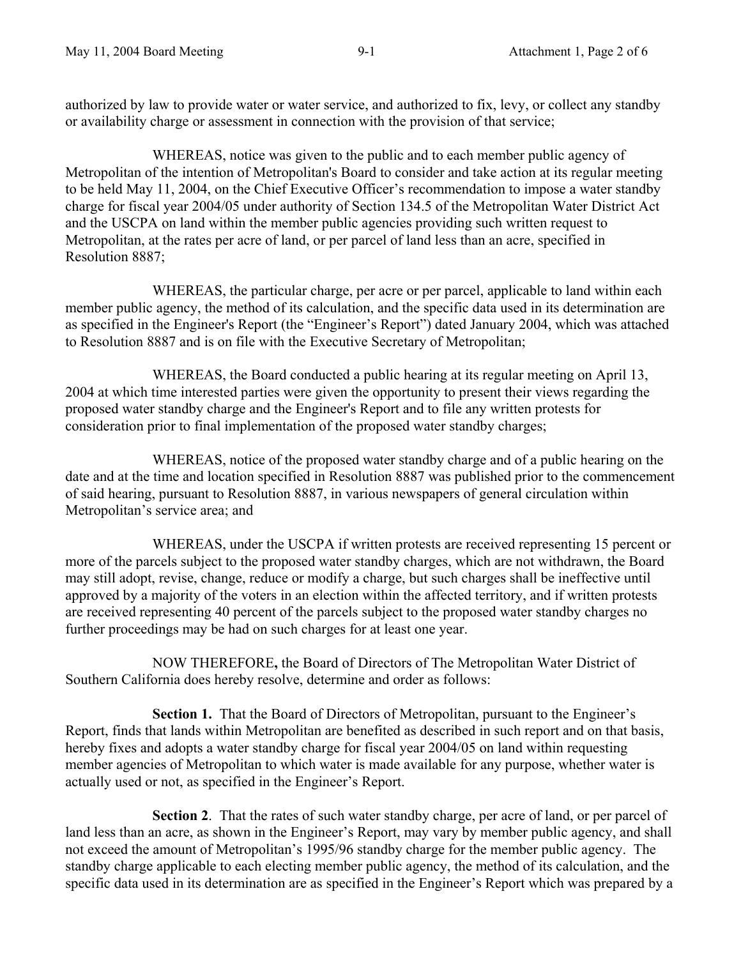authorized by law to provide water or water service, and authorized to fix, levy, or collect any standby or availability charge or assessment in connection with the provision of that service;

 WHEREAS, notice was given to the public and to each member public agency of Metropolitan of the intention of Metropolitan's Board to consider and take action at its regular meeting to be held May 11, 2004, on the Chief Executive Officer's recommendation to impose a water standby charge for fiscal year 2004/05 under authority of Section 134.5 of the Metropolitan Water District Act and the USCPA on land within the member public agencies providing such written request to Metropolitan, at the rates per acre of land, or per parcel of land less than an acre, specified in Resolution 8887;

 WHEREAS, the particular charge, per acre or per parcel, applicable to land within each member public agency, the method of its calculation, and the specific data used in its determination are as specified in the Engineer's Report (the "Engineer's Report") dated January 2004, which was attached to Resolution 8887 and is on file with the Executive Secretary of Metropolitan;

 WHEREAS, the Board conducted a public hearing at its regular meeting on April 13, 2004 at which time interested parties were given the opportunity to present their views regarding the proposed water standby charge and the Engineer's Report and to file any written protests for consideration prior to final implementation of the proposed water standby charges;

WHEREAS, notice of the proposed water standby charge and of a public hearing on the date and at the time and location specified in Resolution 8887 was published prior to the commencement of said hearing, pursuant to Resolution 8887, in various newspapers of general circulation within Metropolitan's service area; and

 WHEREAS, under the USCPA if written protests are received representing 15 percent or more of the parcels subject to the proposed water standby charges, which are not withdrawn, the Board may still adopt, revise, change, reduce or modify a charge, but such charges shall be ineffective until approved by a majority of the voters in an election within the affected territory, and if written protests are received representing 40 percent of the parcels subject to the proposed water standby charges no further proceedings may be had on such charges for at least one year.

NOW THEREFORE**,** the Board of Directors of The Metropolitan Water District of Southern California does hereby resolve, determine and order as follows:

**Section 1.** That the Board of Directors of Metropolitan, pursuant to the Engineer's Report, finds that lands within Metropolitan are benefited as described in such report and on that basis, hereby fixes and adopts a water standby charge for fiscal year 2004/05 on land within requesting member agencies of Metropolitan to which water is made available for any purpose, whether water is actually used or not, as specified in the Engineer's Report.

 **Section 2**. That the rates of such water standby charge, per acre of land, or per parcel of land less than an acre, as shown in the Engineer's Report, may vary by member public agency, and shall not exceed the amount of Metropolitan's 1995/96 standby charge for the member public agency. The standby charge applicable to each electing member public agency, the method of its calculation, and the specific data used in its determination are as specified in the Engineer's Report which was prepared by a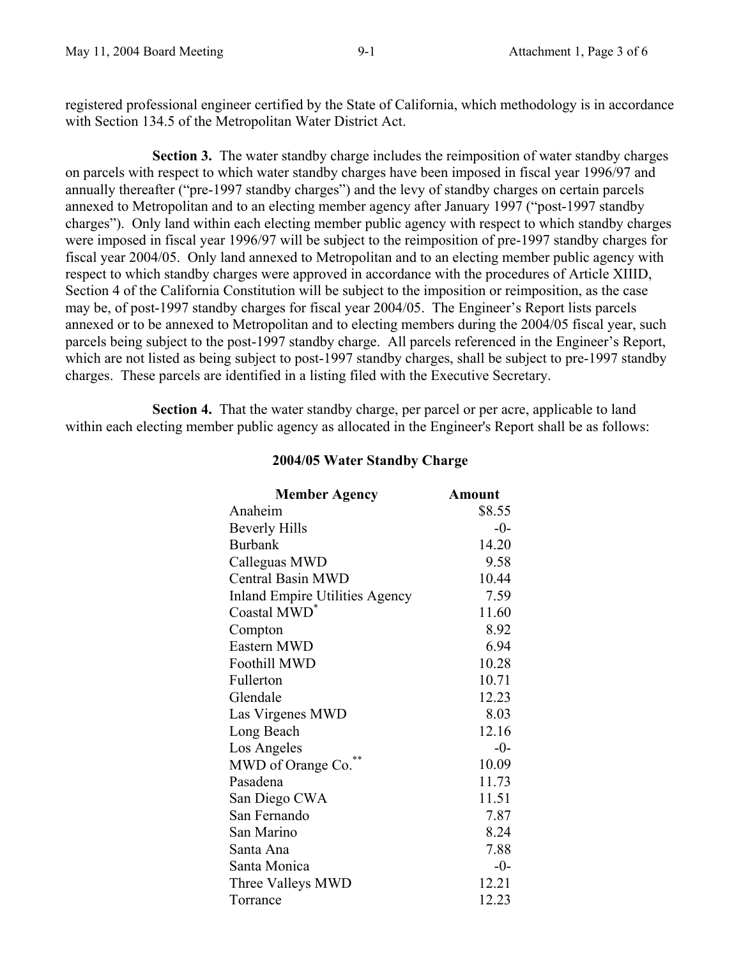registered professional engineer certified by the State of California, which methodology is in accordance with Section 134.5 of the Metropolitan Water District Act.

**Section 3.** The water standby charge includes the reimposition of water standby charges on parcels with respect to which water standby charges have been imposed in fiscal year 1996/97 and annually thereafter ("pre-1997 standby charges") and the levy of standby charges on certain parcels annexed to Metropolitan and to an electing member agency after January 1997 ("post-1997 standby charges"). Only land within each electing member public agency with respect to which standby charges were imposed in fiscal year 1996/97 will be subject to the reimposition of pre-1997 standby charges for fiscal year 2004/05. Only land annexed to Metropolitan and to an electing member public agency with respect to which standby charges were approved in accordance with the procedures of Article XIIID, Section 4 of the California Constitution will be subject to the imposition or reimposition, as the case may be, of post-1997 standby charges for fiscal year 2004/05. The Engineer's Report lists parcels annexed or to be annexed to Metropolitan and to electing members during the 2004/05 fiscal year, such parcels being subject to the post-1997 standby charge. All parcels referenced in the Engineer's Report, which are not listed as being subject to post-1997 standby charges, shall be subject to pre-1997 standby charges. These parcels are identified in a listing filed with the Executive Secretary.

 **Section 4.** That the water standby charge, per parcel or per acre, applicable to land within each electing member public agency as allocated in the Engineer's Report shall be as follows:

| <b>Member Agency</b>                  | Amount |
|---------------------------------------|--------|
| Anaheim                               | \$8.55 |
| <b>Beverly Hills</b>                  | $-0-$  |
| <b>Burbank</b>                        | 14.20  |
| Calleguas MWD                         | 9.58   |
| <b>Central Basin MWD</b>              | 10.44  |
| <b>Inland Empire Utilities Agency</b> | 7.59   |
| Coastal MWD <sup>*</sup>              | 11.60  |
| Compton                               | 8.92   |
| Eastern MWD                           | 6.94   |
| <b>Foothill MWD</b>                   | 10.28  |
| Fullerton                             | 10.71  |
| Glendale                              | 12.23  |
| Las Virgenes MWD                      | 8.03   |
| Long Beach                            | 12.16  |
| Los Angeles                           | $-0-$  |
| **<br>MWD of Orange Co.               | 10.09  |
| Pasadena                              | 11.73  |
| San Diego CWA                         | 11.51  |
| San Fernando                          | 7.87   |
| San Marino                            | 8.24   |
| Santa Ana                             | 7.88   |
| Santa Monica                          | $-0-$  |
| Three Valleys MWD                     | 12.21  |
| Torrance                              | 12.23  |

# **2004/05 Water Standby Charge**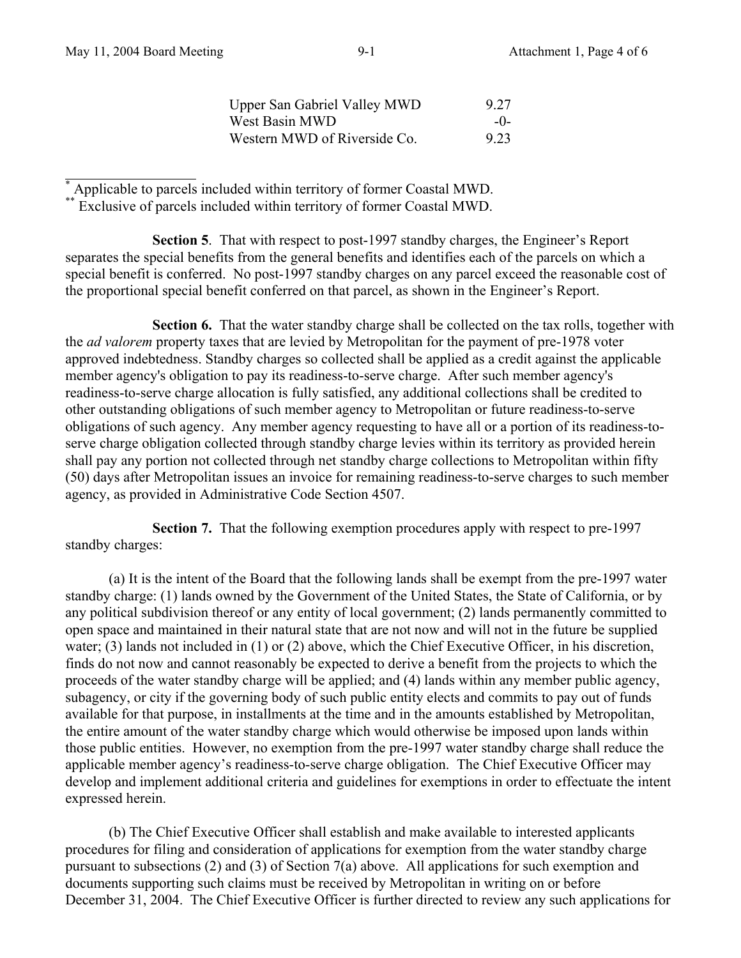| <b>Upper San Gabriel Valley MWD</b> | 9 2 7 |
|-------------------------------------|-------|
| West Basin MWD                      | $-()$ |
| Western MWD of Riverside Co.        | 9 23  |

 $\overline{a}$ \* Applicable to parcels included within territory of former Coastal MWD.

\*\* Exclusive of parcels included within territory of former Coastal MWD.

 **Section 5**. That with respect to post-1997 standby charges, the Engineer's Report separates the special benefits from the general benefits and identifies each of the parcels on which a special benefit is conferred. No post-1997 standby charges on any parcel exceed the reasonable cost of the proportional special benefit conferred on that parcel, as shown in the Engineer's Report.

**Section 6.** That the water standby charge shall be collected on the tax rolls, together with the *ad valorem* property taxes that are levied by Metropolitan for the payment of pre-1978 voter approved indebtedness. Standby charges so collected shall be applied as a credit against the applicable member agency's obligation to pay its readiness-to-serve charge. After such member agency's readiness-to-serve charge allocation is fully satisfied, any additional collections shall be credited to other outstanding obligations of such member agency to Metropolitan or future readiness-to-serve obligations of such agency. Any member agency requesting to have all or a portion of its readiness-toserve charge obligation collected through standby charge levies within its territory as provided herein shall pay any portion not collected through net standby charge collections to Metropolitan within fifty (50) days after Metropolitan issues an invoice for remaining readiness-to-serve charges to such member agency, as provided in Administrative Code Section 4507.

 **Section 7.** That the following exemption procedures apply with respect to pre-1997 standby charges:

(a) It is the intent of the Board that the following lands shall be exempt from the pre-1997 water standby charge: (1) lands owned by the Government of the United States, the State of California, or by any political subdivision thereof or any entity of local government; (2) lands permanently committed to open space and maintained in their natural state that are not now and will not in the future be supplied water; (3) lands not included in (1) or (2) above, which the Chief Executive Officer, in his discretion, finds do not now and cannot reasonably be expected to derive a benefit from the projects to which the proceeds of the water standby charge will be applied; and (4) lands within any member public agency, subagency, or city if the governing body of such public entity elects and commits to pay out of funds available for that purpose, in installments at the time and in the amounts established by Metropolitan, the entire amount of the water standby charge which would otherwise be imposed upon lands within those public entities. However, no exemption from the pre-1997 water standby charge shall reduce the applicable member agency's readiness-to-serve charge obligation. The Chief Executive Officer may develop and implement additional criteria and guidelines for exemptions in order to effectuate the intent expressed herein.

(b) The Chief Executive Officer shall establish and make available to interested applicants procedures for filing and consideration of applications for exemption from the water standby charge pursuant to subsections (2) and (3) of Section 7(a) above. All applications for such exemption and documents supporting such claims must be received by Metropolitan in writing on or before December 31, 2004. The Chief Executive Officer is further directed to review any such applications for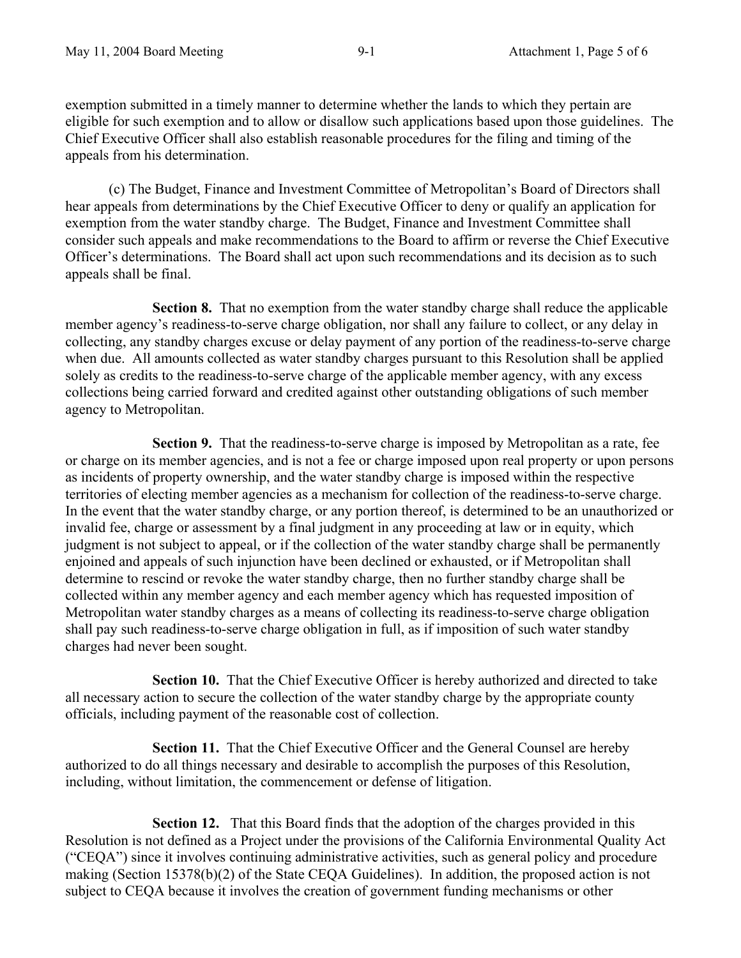exemption submitted in a timely manner to determine whether the lands to which they pertain are eligible for such exemption and to allow or disallow such applications based upon those guidelines. The Chief Executive Officer shall also establish reasonable procedures for the filing and timing of the appeals from his determination.

(c) The Budget, Finance and Investment Committee of Metropolitan's Board of Directors shall hear appeals from determinations by the Chief Executive Officer to deny or qualify an application for exemption from the water standby charge. The Budget, Finance and Investment Committee shall consider such appeals and make recommendations to the Board to affirm or reverse the Chief Executive Officer's determinations. The Board shall act upon such recommendations and its decision as to such appeals shall be final.

 **Section 8.** That no exemption from the water standby charge shall reduce the applicable member agency's readiness-to-serve charge obligation, nor shall any failure to collect, or any delay in collecting, any standby charges excuse or delay payment of any portion of the readiness-to-serve charge when due. All amounts collected as water standby charges pursuant to this Resolution shall be applied solely as credits to the readiness-to-serve charge of the applicable member agency, with any excess collections being carried forward and credited against other outstanding obligations of such member agency to Metropolitan.

 **Section 9.** That the readiness-to-serve charge is imposed by Metropolitan as a rate, fee or charge on its member agencies, and is not a fee or charge imposed upon real property or upon persons as incidents of property ownership, and the water standby charge is imposed within the respective territories of electing member agencies as a mechanism for collection of the readiness-to-serve charge. In the event that the water standby charge, or any portion thereof, is determined to be an unauthorized or invalid fee, charge or assessment by a final judgment in any proceeding at law or in equity, which judgment is not subject to appeal, or if the collection of the water standby charge shall be permanently enjoined and appeals of such injunction have been declined or exhausted, or if Metropolitan shall determine to rescind or revoke the water standby charge, then no further standby charge shall be collected within any member agency and each member agency which has requested imposition of Metropolitan water standby charges as a means of collecting its readiness-to-serve charge obligation shall pay such readiness-to-serve charge obligation in full, as if imposition of such water standby charges had never been sought.

 **Section 10.** That the Chief Executive Officer is hereby authorized and directed to take all necessary action to secure the collection of the water standby charge by the appropriate county officials, including payment of the reasonable cost of collection.

**Section 11.** That the Chief Executive Officer and the General Counsel are hereby authorized to do all things necessary and desirable to accomplish the purposes of this Resolution, including, without limitation, the commencement or defense of litigation.

**Section 12.** That this Board finds that the adoption of the charges provided in this Resolution is not defined as a Project under the provisions of the California Environmental Quality Act ("CEQA") since it involves continuing administrative activities, such as general policy and procedure making (Section 15378(b)(2) of the State CEQA Guidelines). In addition, the proposed action is not subject to CEQA because it involves the creation of government funding mechanisms or other